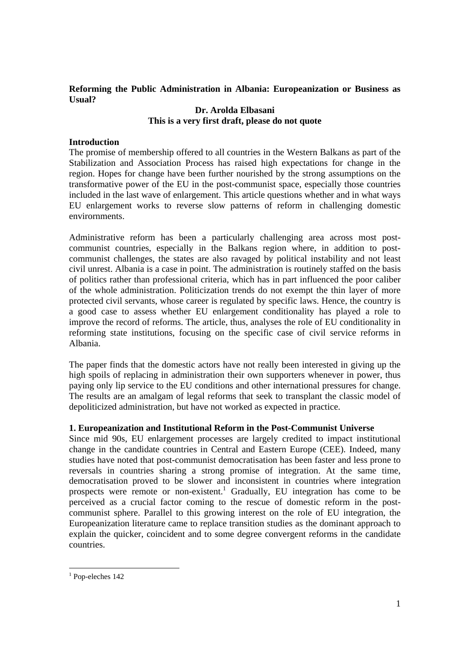## **Reforming the Public Administration in Albania: Europeanization or Business as Usual?**

## **Dr. Arolda Elbasani This is a very first draft, please do not quote**

### **Introduction**

The promise of membership offered to all countries in the Western Balkans as part of the Stabilization and Association Process has raised high expectations for change in the region. Hopes for change have been further nourished by the strong assumptions on the transformative power of the EU in the post-communist space, especially those countries included in the last wave of enlargement. This article questions whether and in what ways EU enlargement works to reverse slow patterns of reform in challenging domestic envirornments.

Administrative reform has been a particularly challenging area across most postcommunist countries, especially in the Balkans region where, in addition to postcommunist challenges, the states are also ravaged by political instability and not least civil unrest. Albania is a case in point. The administration is routinely staffed on the basis of politics rather than professional criteria, which has in part influenced the poor caliber of the whole administration. Politicization trends do not exempt the thin layer of more protected civil servants, whose career is regulated by specific laws. Hence, the country is a good case to assess whether EU enlargement conditionality has played a role to improve the record of reforms. The article, thus, analyses the role of EU conditionality in reforming state institutions, focusing on the specific case of civil service reforms in Albania.

The paper finds that the domestic actors have not really been interested in giving up the high spoils of replacing in administration their own supporters whenever in power, thus paying only lip service to the EU conditions and other international pressures for change. The results are an amalgam of legal reforms that seek to transplant the classic model of depoliticized administration, but have not worked as expected in practice.

## **1. Europeanization and Institutional Reform in the Post-Communist Universe**

Since mid 90s, EU enlargement processes are largely credited to impact institutional change in the candidate countries in Central and Eastern Europe (CEE). Indeed, many studies have noted that post-communist democratisation has been faster and less prone to reversals in countries sharing a strong promise of integration. At the same time, democratisation proved to be slower and inconsistent in countries where integration prospects were remote or non-existent.<sup>1</sup> Gradually, EU integration has come to be perceived as a crucial factor coming to the rescue of domestic reform in the postcommunist sphere. Parallel to this growing interest on the role of EU integration, the Europeanization literature came to replace transition studies as the dominant approach to explain the quicker, coincident and to some degree convergent reforms in the candidate countries.

 $\overline{a}$ 

<sup>1</sup> Pop-eleches 142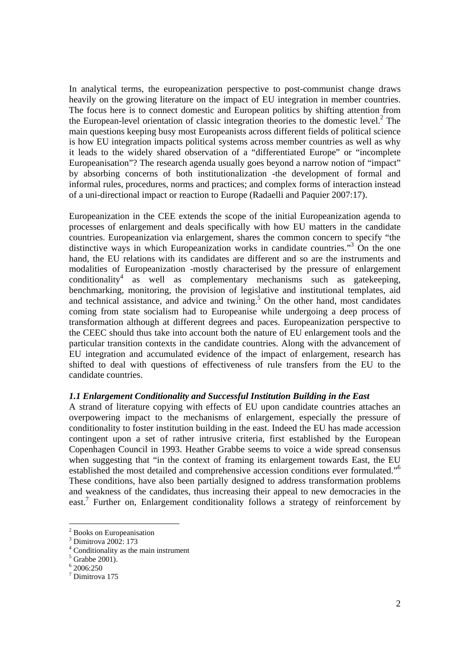In analytical terms, the europeanization perspective to post-communist change draws heavily on the growing literature on the impact of EU integration in member countries. The focus here is to connect domestic and European politics by shifting attention from the European-level orientation of classic integration theories to the domestic level.<sup>2</sup> The main questions keeping busy most Europeanists across different fields of political science is how EU integration impacts political systems across member countries as well as why it leads to the widely shared observation of a "differentiated Europe" or "incomplete Europeanisation"? The research agenda usually goes beyond a narrow notion of "impact" by absorbing concerns of both institutionalization -the development of formal and informal rules, procedures, norms and practices; and complex forms of interaction instead of a uni-directional impact or reaction to Europe (Radaelli and Paquier 2007:17).

Europeanization in the CEE extends the scope of the initial Europeanization agenda to processes of enlargement and deals specifically with how EU matters in the candidate countries. Europeanization via enlargement, shares the common concern to specify "the distinctive ways in which Europeanization works in candidate countries."<sup>3</sup> On the one hand, the EU relations with its candidates are different and so are the instruments and modalities of Europeanization -mostly characterised by the pressure of enlargement conditionality<sup>4</sup> as well as complementary mechanisms such as gatekeeping, benchmarking, monitoring, the provision of legislative and institutional templates, aid and technical assistance, and advice and twining.<sup>5</sup> On the other hand, most candidates coming from state socialism had to Europeanise while undergoing a deep process of transformation although at different degrees and paces. Europeanization perspective to the CEEC should thus take into account both the nature of EU enlargement tools and the particular transition contexts in the candidate countries. Along with the advancement of EU integration and accumulated evidence of the impact of enlargement, research has shifted to deal with questions of effectiveness of rule transfers from the EU to the candidate countries.

## *1.1 Enlargement Conditionality and Successful Institution Building in the East*

A strand of literature copying with effects of EU upon candidate countries attaches an overpowering impact to the mechanisms of enlargement, especially the pressure of conditionality to foster institution building in the east. Indeed the EU has made accession contingent upon a set of rather intrusive criteria, first established by the European Copenhagen Council in 1993. Heather Grabbe seems to voice a wide spread consensus when suggesting that "in the context of framing its enlargement towards East, the EU established the most detailed and comprehensive accession conditions ever formulated."6 These conditions, have also been partially designed to address transformation problems and weakness of the candidates, thus increasing their appeal to new democracies in the east.<sup>7</sup> Further on, Enlargement conditionality follows a strategy of reinforcement by

<sup>&</sup>lt;sup>2</sup> Books on Europeanisation

<sup>3</sup> Dimitrova 2002: 173

<sup>4</sup> Conditionality as the main instrument

 $<sup>5</sup>$  Grabbe 2001).</sup>

<sup>6</sup> 2006:250

<sup>7</sup> Dimitrova 175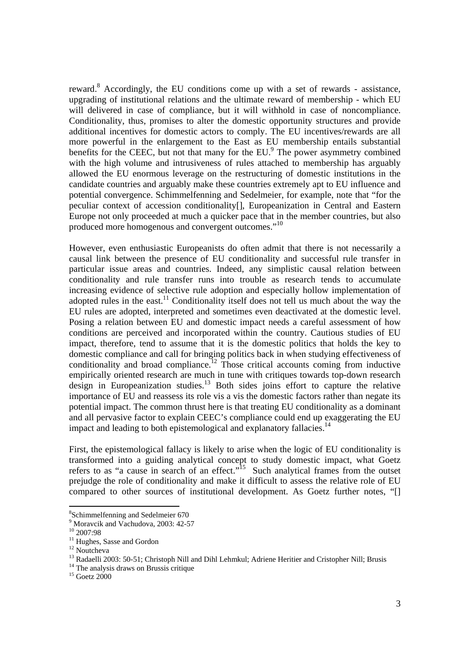reward.<sup>8</sup> Accordingly, the EU conditions come up with a set of rewards - assistance, upgrading of institutional relations and the ultimate reward of membership - which EU will delivered in case of compliance, but it will withhold in case of noncompliance. Conditionality, thus, promises to alter the domestic opportunity structures and provide additional incentives for domestic actors to comply. The EU incentives/rewards are all more powerful in the enlargement to the East as EU membership entails substantial benefits for the CEEC, but not that many for the EU.<sup>9</sup> The power asymmetry combined with the high volume and intrusiveness of rules attached to membership has arguably allowed the EU enormous leverage on the restructuring of domestic institutions in the candidate countries and arguably make these countries extremely apt to EU influence and potential convergence. Schimmelfenning and Sedelmeier, for example, note that "for the peculiar context of accession conditionality[], Europeanization in Central and Eastern Europe not only proceeded at much a quicker pace that in the member countries, but also produced more homogenous and convergent outcomes."<sup>10</sup>

However, even enthusiastic Europeanists do often admit that there is not necessarily a causal link between the presence of EU conditionality and successful rule transfer in particular issue areas and countries. Indeed, any simplistic causal relation between conditionality and rule transfer runs into trouble as research tends to accumulate increasing evidence of selective rule adoption and especially hollow implementation of adopted rules in the east.<sup>11</sup> Conditionality itself does not tell us much about the way the EU rules are adopted, interpreted and sometimes even deactivated at the domestic level. Posing a relation between EU and domestic impact needs a careful assessment of how conditions are perceived and incorporated within the country. Cautious studies of EU impact, therefore, tend to assume that it is the domestic politics that holds the key to domestic compliance and call for bringing politics back in when studying effectiveness of conditionality and broad compliance.<sup>12</sup> Those critical accounts coming from inductive empirically oriented research are much in tune with critiques towards top-down research design in Europeanization studies.<sup>13</sup> Both sides joins effort to capture the relative importance of EU and reassess its role vis a vis the domestic factors rather than negate its potential impact. The common thrust here is that treating EU conditionality as a dominant and all pervasive factor to explain CEEC's compliance could end up exaggerating the EU impact and leading to both epistemological and explanatory fallacies.<sup>14</sup>

First, the epistemological fallacy is likely to arise when the logic of EU conditionality is transformed into a guiding analytical concept to study domestic impact, what Goetz refers to as "a cause in search of an effect."<sup>15</sup> Such analytical frames from the outset prejudge the role of conditionality and make it difficult to assess the relative role of EU compared to other sources of institutional development. As Goetz further notes, "[]

<sup>8</sup> Schimmelfenning and Sedelmeier 670

<sup>9</sup> Moravcik and Vachudova, 2003: 42-57

 $^{10}_{10}$  2007:98

<sup>&</sup>lt;sup>11</sup> Hughes, Sasse and Gordon

<sup>&</sup>lt;sup>12</sup> Noutcheva

<sup>&</sup>lt;sup>13</sup> Radaelli 2003: 50-51; Christoph Nill and Dihl Lehmkul; Adriene Heritier and Cristopher Nill; Brusis

<sup>&</sup>lt;sup>14</sup> The analysis draws on Brussis critique

 $15$  Goetz 2000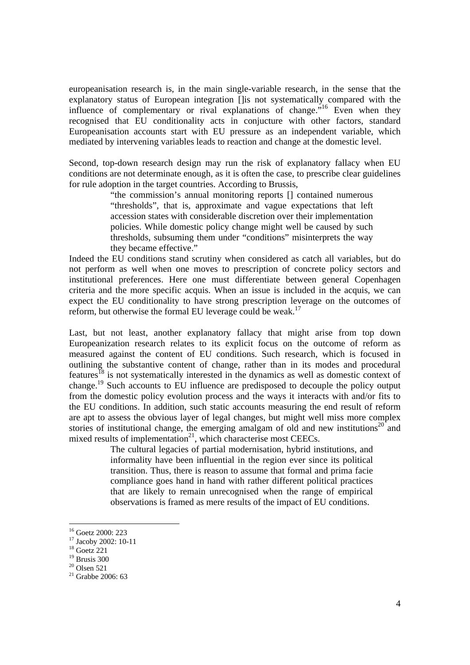europeanisation research is, in the main single-variable research, in the sense that the explanatory status of European integration []is not systematically compared with the influence of complementary or rival explanations of change."16 Even when they recognised that EU conditionality acts in conjucture with other factors, standard Europeanisation accounts start with EU pressure as an independent variable, which mediated by intervening variables leads to reaction and change at the domestic level.

Second, top-down research design may run the risk of explanatory fallacy when EU conditions are not determinate enough, as it is often the case, to prescribe clear guidelines for rule adoption in the target countries. According to Brussis,

> "the commission's annual monitoring reports [] contained numerous "thresholds", that is, approximate and vague expectations that left accession states with considerable discretion over their implementation policies. While domestic policy change might well be caused by such thresholds, subsuming them under "conditions" misinterprets the way they became effective."

Indeed the EU conditions stand scrutiny when considered as catch all variables, but do not perform as well when one moves to prescription of concrete policy sectors and institutional preferences. Here one must differentiate between general Copenhagen criteria and the more specific acquis. When an issue is included in the acquis, we can expect the EU conditionality to have strong prescription leverage on the outcomes of reform, but otherwise the formal EU leverage could be weak.<sup>17</sup>

Last, but not least, another explanatory fallacy that might arise from top down Europeanization research relates to its explicit focus on the outcome of reform as measured against the content of EU conditions. Such research, which is focused in outlining the substantive content of change, rather than in its modes and procedural features<sup>18</sup> is not systematically interested in the dynamics as well as domestic context of change.19 Such accounts to EU influence are predisposed to decouple the policy output from the domestic policy evolution process and the ways it interacts with and/or fits to the EU conditions. In addition, such static accounts measuring the end result of reform are apt to assess the obvious layer of legal changes, but might well miss more complex stories of institutional change, the emerging amalgam of old and new institutions<sup>20</sup> and mixed results of implementation<sup>21</sup>, which characterise most CEECs.

> The cultural legacies of partial modernisation, hybrid institutions, and informality have been influential in the region ever since its political transition. Thus, there is reason to assume that formal and prima facie compliance goes hand in hand with rather different political practices that are likely to remain unrecognised when the range of empirical observations is framed as mere results of the impact of EU conditions.

<sup>16</sup> Goetz 2000: 223

<sup>&</sup>lt;sup>17</sup> Jacoby 2002: 10-11

 $18$  Goetz 221

 $19$  Brusis 300

 $20$  Olsen 521

 $21$  Grabbe 2006: 63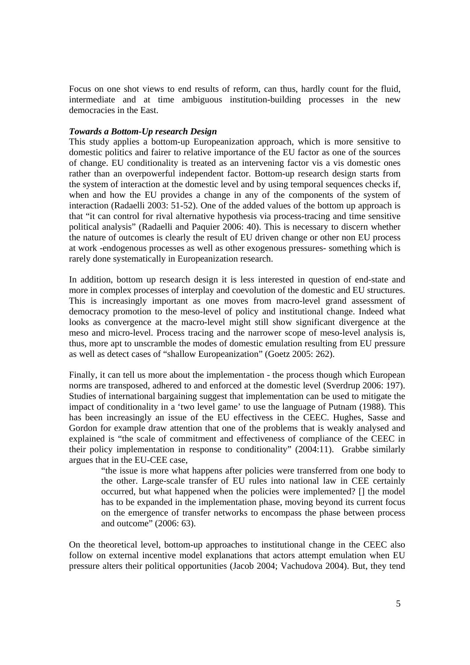Focus on one shot views to end results of reform, can thus, hardly count for the fluid, intermediate and at time ambiguous institution-building processes in the new democracies in the East.

### *Towards a Bottom-Up research Design*

This study applies a bottom-up Europeanization approach, which is more sensitive to domestic politics and fairer to relative importance of the EU factor as one of the sources of change. EU conditionality is treated as an intervening factor vis a vis domestic ones rather than an overpowerful independent factor. Bottom-up research design starts from the system of interaction at the domestic level and by using temporal sequences checks if, when and how the EU provides a change in any of the components of the system of interaction (Radaelli 2003: 51-52). One of the added values of the bottom up approach is that "it can control for rival alternative hypothesis via process-tracing and time sensitive political analysis" (Radaelli and Paquier 2006: 40). This is necessary to discern whether the nature of outcomes is clearly the result of EU driven change or other non EU process at work -endogenous processes as well as other exogenous pressures- something which is rarely done systematically in Europeanization research.

In addition, bottom up research design it is less interested in question of end-state and more in complex processes of interplay and coevolution of the domestic and EU structures. This is increasingly important as one moves from macro-level grand assessment of democracy promotion to the meso-level of policy and institutional change. Indeed what looks as convergence at the macro-level might still show significant divergence at the meso and micro-level. Process tracing and the narrower scope of meso-level analysis is, thus, more apt to unscramble the modes of domestic emulation resulting from EU pressure as well as detect cases of "shallow Europeanization" (Goetz 2005: 262).

Finally, it can tell us more about the implementation - the process though which European norms are transposed, adhered to and enforced at the domestic level (Sverdrup 2006: 197). Studies of international bargaining suggest that implementation can be used to mitigate the impact of conditionality in a 'two level game' to use the language of Putnam (1988). This has been increasingly an issue of the EU effectivess in the CEEC. Hughes, Sasse and Gordon for example draw attention that one of the problems that is weakly analysed and explained is "the scale of commitment and effectiveness of compliance of the CEEC in their policy implementation in response to conditionality" (2004:11). Grabbe similarly argues that in the EU-CEE case,

"the issue is more what happens after policies were transferred from one body to the other. Large-scale transfer of EU rules into national law in CEE certainly occurred, but what happened when the policies were implemented? [] the model has to be expanded in the implementation phase, moving beyond its current focus on the emergence of transfer networks to encompass the phase between process and outcome" (2006: 63).

On the theoretical level, bottom-up approaches to institutional change in the CEEC also follow on external incentive model explanations that actors attempt emulation when EU pressure alters their political opportunities (Jacob 2004; Vachudova 2004). But, they tend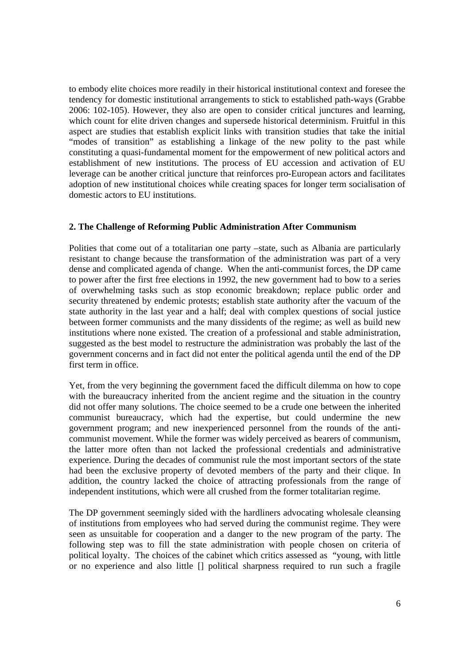to embody elite choices more readily in their historical institutional context and foresee the tendency for domestic institutional arrangements to stick to established path-ways (Grabbe 2006: 102-105). However, they also are open to consider critical junctures and learning, which count for elite driven changes and supersede historical determinism. Fruitful in this aspect are studies that establish explicit links with transition studies that take the initial "modes of transition" as establishing a linkage of the new polity to the past while constituting a quasi-fundamental moment for the empowerment of new political actors and establishment of new institutions. The process of EU accession and activation of EU leverage can be another critical juncture that reinforces pro-European actors and facilitates adoption of new institutional choices while creating spaces for longer term socialisation of domestic actors to EU institutions.

## **2. The Challenge of Reforming Public Administration After Communism**

Polities that come out of a totalitarian one party –state, such as Albania are particularly resistant to change because the transformation of the administration was part of a very dense and complicated agenda of change. When the anti-communist forces, the DP came to power after the first free elections in 1992, the new government had to bow to a series of overwhelming tasks such as stop economic breakdown; replace public order and security threatened by endemic protests; establish state authority after the vacuum of the state authority in the last year and a half; deal with complex questions of social justice between former communists and the many dissidents of the regime; as well as build new institutions where none existed. The creation of a professional and stable administration, suggested as the best model to restructure the administration was probably the last of the government concerns and in fact did not enter the political agenda until the end of the DP first term in office.

Yet, from the very beginning the government faced the difficult dilemma on how to cope with the bureaucracy inherited from the ancient regime and the situation in the country did not offer many solutions. The choice seemed to be a crude one between the inherited communist bureaucracy, which had the expertise, but could undermine the new government program; and new inexperienced personnel from the rounds of the anticommunist movement. While the former was widely perceived as bearers of communism, the latter more often than not lacked the professional credentials and administrative experience. During the decades of communist rule the most important sectors of the state had been the exclusive property of devoted members of the party and their clique. In addition, the country lacked the choice of attracting professionals from the range of independent institutions, which were all crushed from the former totalitarian regime.

The DP government seemingly sided with the hardliners advocating wholesale cleansing of institutions from employees who had served during the communist regime. They were seen as unsuitable for cooperation and a danger to the new program of the party. The following step was to fill the state administration with people chosen on criteria of political loyalty. The choices of the cabinet which critics assessed as "young, with little or no experience and also little [] political sharpness required to run such a fragile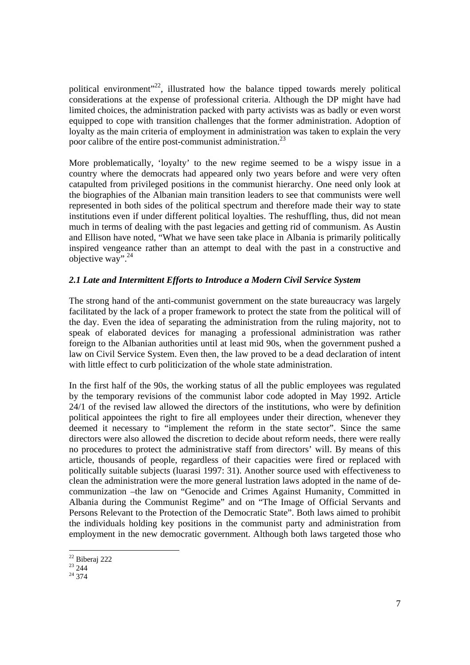political environment"<sup>22</sup>, illustrated how the balance tipped towards merely political considerations at the expense of professional criteria. Although the DP might have had limited choices, the administration packed with party activists was as badly or even worst equipped to cope with transition challenges that the former administration. Adoption of loyalty as the main criteria of employment in administration was taken to explain the very poor calibre of the entire post-communist administration.<sup>23</sup>

More problematically, 'loyalty' to the new regime seemed to be a wispy issue in a country where the democrats had appeared only two years before and were very often catapulted from privileged positions in the communist hierarchy. One need only look at the biographies of the Albanian main transition leaders to see that communists were well represented in both sides of the political spectrum and therefore made their way to state institutions even if under different political loyalties. The reshuffling, thus, did not mean much in terms of dealing with the past legacies and getting rid of communism. As Austin and Ellison have noted, "What we have seen take place in Albania is primarily politically inspired vengeance rather than an attempt to deal with the past in a constructive and objective way".<sup>24</sup>

# *2.1 Late and Intermittent Efforts to Introduce a Modern Civil Service System*

The strong hand of the anti-communist government on the state bureaucracy was largely facilitated by the lack of a proper framework to protect the state from the political will of the day. Even the idea of separating the administration from the ruling majority, not to speak of elaborated devices for managing a professional administration was rather foreign to the Albanian authorities until at least mid 90s, when the government pushed a law on Civil Service System. Even then, the law proved to be a dead declaration of intent with little effect to curb politicization of the whole state administration.

In the first half of the 90s, the working status of all the public employees was regulated by the temporary revisions of the communist labor code adopted in May 1992. Article 24/1 of the revised law allowed the directors of the institutions, who were by definition political appointees the right to fire all employees under their direction, whenever they deemed it necessary to "implement the reform in the state sector". Since the same directors were also allowed the discretion to decide about reform needs, there were really no procedures to protect the administrative staff from directors' will. By means of this article, thousands of people, regardless of their capacities were fired or replaced with politically suitable subjects (luarasi 1997: 31). Another source used with effectiveness to clean the administration were the more general lustration laws adopted in the name of decommunization –the law on "Genocide and Crimes Against Humanity, Committed in Albania during the Communist Regime" and on "The Image of Official Servants and Persons Relevant to the Protection of the Democratic State". Both laws aimed to prohibit the individuals holding key positions in the communist party and administration from employment in the new democratic government. Although both laws targeted those who

 $22$  Biberaj 222

 $^{23}$  244

 $^{24}$  374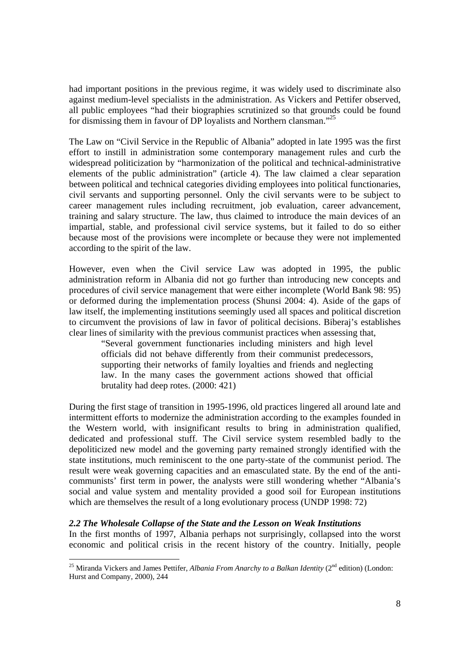had important positions in the previous regime, it was widely used to discriminate also against medium-level specialists in the administration. As Vickers and Pettifer observed, all public employees "had their biographies scrutinized so that grounds could be found for dismissing them in favour of DP loyalists and Northern clansman."25

The Law on "Civil Service in the Republic of Albania" adopted in late 1995 was the first effort to instill in administration some contemporary management rules and curb the widespread politicization by "harmonization of the political and technical-administrative elements of the public administration" (article 4). The law claimed a clear separation between political and technical categories dividing employees into political functionaries, civil servants and supporting personnel. Only the civil servants were to be subject to career management rules including recruitment, job evaluation, career advancement, training and salary structure. The law, thus claimed to introduce the main devices of an impartial, stable, and professional civil service systems, but it failed to do so either because most of the provisions were incomplete or because they were not implemented according to the spirit of the law.

However, even when the Civil service Law was adopted in 1995, the public administration reform in Albania did not go further than introducing new concepts and procedures of civil service management that were either incomplete (World Bank 98: 95) or deformed during the implementation process (Shunsi 2004: 4). Aside of the gaps of law itself, the implementing institutions seemingly used all spaces and political discretion to circumvent the provisions of law in favor of political decisions. Biberaj's establishes clear lines of similarity with the previous communist practices when assessing that,

"Several government functionaries including ministers and high level officials did not behave differently from their communist predecessors, supporting their networks of family loyalties and friends and neglecting law. In the many cases the government actions showed that official brutality had deep rotes. (2000: 421)

During the first stage of transition in 1995-1996, old practices lingered all around late and intermittent efforts to modernize the administration according to the examples founded in the Western world, with insignificant results to bring in administration qualified, dedicated and professional stuff. The Civil service system resembled badly to the depoliticized new model and the governing party remained strongly identified with the state institutions, much reminiscent to the one party-state of the communist period. The result were weak governing capacities and an emasculated state. By the end of the anticommunists' first term in power, the analysts were still wondering whether "Albania's social and value system and mentality provided a good soil for European institutions which are themselves the result of a long evolutionary process (UNDP 1998: 72)

## *2.2 The Wholesale Collapse of the State and the Lesson on Weak Institutions*

In the first months of 1997, Albania perhaps not surprisingly, collapsed into the worst economic and political crisis in the recent history of the country. Initially, people

<sup>&</sup>lt;sup>25</sup> Miranda Vickers and James Pettifer, *Albania From Anarchy to a Balkan Identity* (2<sup>nd</sup> edition) (London: Hurst and Company, 2000), 244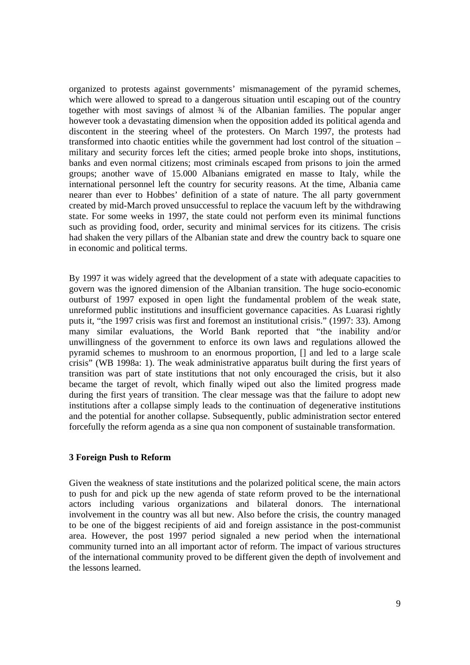organized to protests against governments' mismanagement of the pyramid schemes, which were allowed to spread to a dangerous situation until escaping out of the country together with most savings of almost ¾ of the Albanian families. The popular anger however took a devastating dimension when the opposition added its political agenda and discontent in the steering wheel of the protesters. On March 1997, the protests had transformed into chaotic entities while the government had lost control of the situation – military and security forces left the cities; armed people broke into shops, institutions, banks and even normal citizens; most criminals escaped from prisons to join the armed groups; another wave of 15.000 Albanians emigrated en masse to Italy, while the international personnel left the country for security reasons. At the time, Albania came nearer than ever to Hobbes' definition of a state of nature. The all party government created by mid-March proved unsuccessful to replace the vacuum left by the withdrawing state. For some weeks in 1997, the state could not perform even its minimal functions such as providing food, order, security and minimal services for its citizens. The crisis had shaken the very pillars of the Albanian state and drew the country back to square one in economic and political terms.

By 1997 it was widely agreed that the development of a state with adequate capacities to govern was the ignored dimension of the Albanian transition. The huge socio-economic outburst of 1997 exposed in open light the fundamental problem of the weak state, unreformed public institutions and insufficient governance capacities. As Luarasi rightly puts it, "the 1997 crisis was first and foremost an institutional crisis." (1997: 33). Among many similar evaluations, the World Bank reported that "the inability and/or unwillingness of the government to enforce its own laws and regulations allowed the pyramid schemes to mushroom to an enormous proportion, [] and led to a large scale crisis" (WB 1998a: 1). The weak administrative apparatus built during the first years of transition was part of state institutions that not only encouraged the crisis, but it also became the target of revolt, which finally wiped out also the limited progress made during the first years of transition. The clear message was that the failure to adopt new institutions after a collapse simply leads to the continuation of degenerative institutions and the potential for another collapse. Subsequently, public administration sector entered forcefully the reform agenda as a sine qua non component of sustainable transformation.

#### **3 Foreign Push to Reform**

Given the weakness of state institutions and the polarized political scene, the main actors to push for and pick up the new agenda of state reform proved to be the international actors including various organizations and bilateral donors. The international involvement in the country was all but new. Also before the crisis, the country managed to be one of the biggest recipients of aid and foreign assistance in the post-communist area. However, the post 1997 period signaled a new period when the international community turned into an all important actor of reform. The impact of various structures of the international community proved to be different given the depth of involvement and the lessons learned.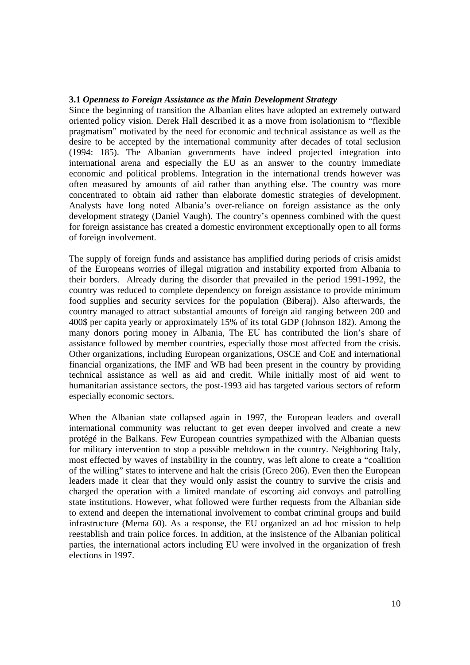#### **3.1** *Openness to Foreign Assistance as the Main Development Strategy*

Since the beginning of transition the Albanian elites have adopted an extremely outward oriented policy vision. Derek Hall described it as a move from isolationism to "flexible pragmatism" motivated by the need for economic and technical assistance as well as the desire to be accepted by the international community after decades of total seclusion (1994: 185). The Albanian governments have indeed projected integration into international arena and especially the EU as an answer to the country immediate economic and political problems. Integration in the international trends however was often measured by amounts of aid rather than anything else. The country was more concentrated to obtain aid rather than elaborate domestic strategies of development. Analysts have long noted Albania's over-reliance on foreign assistance as the only development strategy (Daniel Vaugh). The country's openness combined with the quest for foreign assistance has created a domestic environment exceptionally open to all forms of foreign involvement.

The supply of foreign funds and assistance has amplified during periods of crisis amidst of the Europeans worries of illegal migration and instability exported from Albania to their borders. Already during the disorder that prevailed in the period 1991-1992, the country was reduced to complete dependency on foreign assistance to provide minimum food supplies and security services for the population (Biberaj). Also afterwards, the country managed to attract substantial amounts of foreign aid ranging between 200 and 400\$ per capita yearly or approximately 15% of its total GDP (Johnson 182). Among the many donors poring money in Albania, The EU has contributed the lion's share of assistance followed by member countries, especially those most affected from the crisis. Other organizations, including European organizations, OSCE and CoE and international financial organizations, the IMF and WB had been present in the country by providing technical assistance as well as aid and credit. While initially most of aid went to humanitarian assistance sectors, the post-1993 aid has targeted various sectors of reform especially economic sectors.

When the Albanian state collapsed again in 1997, the European leaders and overall international community was reluctant to get even deeper involved and create a new protégé in the Balkans. Few European countries sympathized with the Albanian quests for military intervention to stop a possible meltdown in the country. Neighboring Italy, most effected by waves of instability in the country, was left alone to create a "coalition of the willing" states to intervene and halt the crisis (Greco 206). Even then the European leaders made it clear that they would only assist the country to survive the crisis and charged the operation with a limited mandate of escorting aid convoys and patrolling state institutions. However, what followed were further requests from the Albanian side to extend and deepen the international involvement to combat criminal groups and build infrastructure (Mema 60). As a response, the EU organized an ad hoc mission to help reestablish and train police forces. In addition, at the insistence of the Albanian political parties, the international actors including EU were involved in the organization of fresh elections in 1997.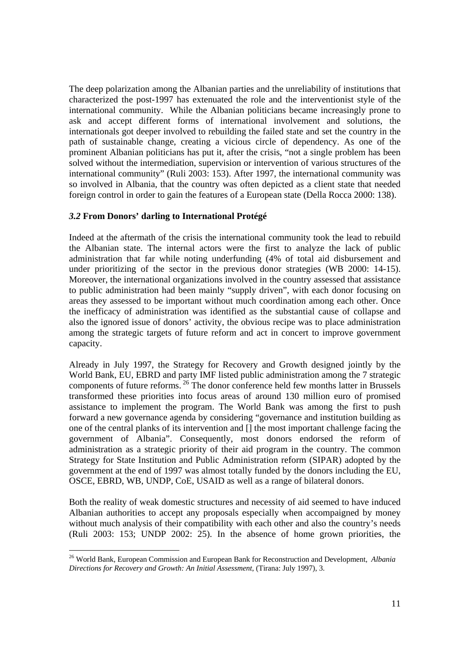The deep polarization among the Albanian parties and the unreliability of institutions that characterized the post-1997 has extenuated the role and the interventionist style of the international community. While the Albanian politicians became increasingly prone to ask and accept different forms of international involvement and solutions, the internationals got deeper involved to rebuilding the failed state and set the country in the path of sustainable change, creating a vicious circle of dependency. As one of the prominent Albanian politicians has put it, after the crisis, "not a single problem has been solved without the intermediation, supervision or intervention of various structures of the international community" (Ruli 2003: 153). After 1997, the international community was so involved in Albania, that the country was often depicted as a client state that needed foreign control in order to gain the features of a European state (Della Rocca 2000: 138).

## *3.2* **From Donors' darling to International Protégé**

Indeed at the aftermath of the crisis the international community took the lead to rebuild the Albanian state. The internal actors were the first to analyze the lack of public administration that far while noting underfunding (4% of total aid disbursement and under prioritizing of the sector in the previous donor strategies (WB 2000: 14-15). Moreover, the international organizations involved in the country assessed that assistance to public administration had been mainly "supply driven", with each donor focusing on areas they assessed to be important without much coordination among each other. Once the inefficacy of administration was identified as the substantial cause of collapse and also the ignored issue of donors' activity, the obvious recipe was to place administration among the strategic targets of future reform and act in concert to improve government capacity.

Already in July 1997, the Strategy for Recovery and Growth designed jointly by the World Bank, EU, EBRD and party IMF listed public administration among the 7 strategic components of future reforms. 26 The donor conference held few months latter in Brussels transformed these priorities into focus areas of around 130 million euro of promised assistance to implement the program. The World Bank was among the first to push forward a new governance agenda by considering "governance and institution building as one of the central planks of its intervention and [] the most important challenge facing the government of Albania". Consequently, most donors endorsed the reform of administration as a strategic priority of their aid program in the country. The common Strategy for State Institution and Public Administration reform (SIPAR) adopted by the government at the end of 1997 was almost totally funded by the donors including the EU, OSCE, EBRD, WB, UNDP, CoE, USAID as well as a range of bilateral donors.

Both the reality of weak domestic structures and necessity of aid seemed to have induced Albanian authorities to accept any proposals especially when accompaigned by money without much analysis of their compatibility with each other and also the country's needs (Ruli 2003: 153; UNDP 2002: 25). In the absence of home grown priorities, the

<sup>26</sup> World Bank, European Commission and European Bank for Reconstruction and Development, *Albania Directions for Recovery and Growth: An Initial Assessment*, (Tirana: July 1997), 3.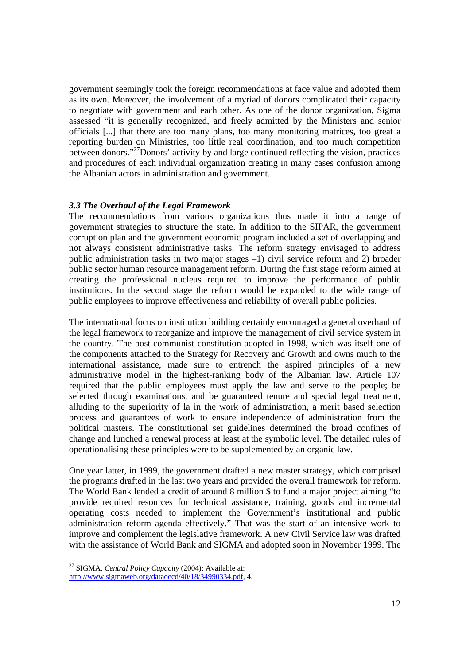government seemingly took the foreign recommendations at face value and adopted them as its own. Moreover, the involvement of a myriad of donors complicated their capacity to negotiate with government and each other. As one of the donor organization, Sigma assessed "it is generally recognized, and freely admitted by the Ministers and senior officials [...] that there are too many plans, too many monitoring matrices, too great a reporting burden on Ministries, too little real coordination, and too much competition between donors."27Donors' activity by and large continued reflecting the vision, practices and procedures of each individual organization creating in many cases confusion among the Albanian actors in administration and government.

### *3.3 The Overhaul of the Legal Framework*

The recommendations from various organizations thus made it into a range of government strategies to structure the state. In addition to the SIPAR, the government corruption plan and the government economic program included a set of overlapping and not always consistent administrative tasks. The reform strategy envisaged to address public administration tasks in two major stages –1) civil service reform and 2) broader public sector human resource management reform. During the first stage reform aimed at creating the professional nucleus required to improve the performance of public institutions. In the second stage the reform would be expanded to the wide range of public employees to improve effectiveness and reliability of overall public policies.

The international focus on institution building certainly encouraged a general overhaul of the legal framework to reorganize and improve the management of civil service system in the country. The post-communist constitution adopted in 1998, which was itself one of the components attached to the Strategy for Recovery and Growth and owns much to the international assistance, made sure to entrench the aspired principles of a new administrative model in the highest-ranking body of the Albanian law. Article 107 required that the public employees must apply the law and serve to the people; be selected through examinations, and be guaranteed tenure and special legal treatment, alluding to the superiority of la in the work of administration, a merit based selection process and guarantees of work to ensure independence of administration from the political masters. The constitutional set guidelines determined the broad confines of change and lunched a renewal process at least at the symbolic level. The detailed rules of operationalising these principles were to be supplemented by an organic law.

One year latter, in 1999, the government drafted a new master strategy, which comprised the programs drafted in the last two years and provided the overall framework for reform. The World Bank lended a credit of around 8 million \$ to fund a major project aiming "to provide required resources for technical assistance, training, goods and incremental operating costs needed to implement the Government's institutional and public administration reform agenda effectively." That was the start of an intensive work to improve and complement the legislative framework. A new Civil Service law was drafted with the assistance of World Bank and SIGMA and adopted soon in November 1999. The

<sup>27</sup> SIGMA, *Central Policy Capacity* (2004); Available at: http://www.sigmaweb.org/dataoecd/40/18/34990334.pdf, 4.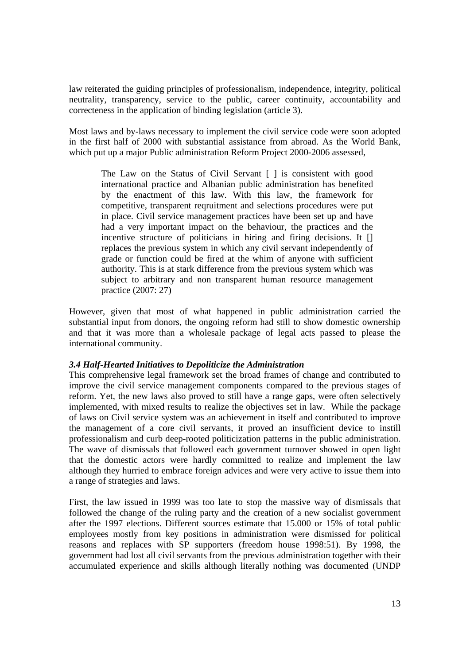law reiterated the guiding principles of professionalism, independence, integrity, political neutrality, transparency, service to the public, career continuity, accountability and correcteness in the application of binding legislation (article 3).

Most laws and by-laws necessary to implement the civil service code were soon adopted in the first half of 2000 with substantial assistance from abroad. As the World Bank, which put up a major Public administration Reform Project 2000-2006 assessed,

The Law on the Status of Civil Servant [ ] is consistent with good international practice and Albanian public administration has benefited by the enactment of this law. With this law, the framework for competitive, transparent reqruitment and selections procedures were put in place. Civil service management practices have been set up and have had a very important impact on the behaviour, the practices and the incentive structure of politicians in hiring and firing decisions. It [] replaces the previous system in which any civil servant independently of grade or function could be fired at the whim of anyone with sufficient authority. This is at stark difference from the previous system which was subject to arbitrary and non transparent human resource management practice (2007: 27)

However, given that most of what happened in public administration carried the substantial input from donors, the ongoing reform had still to show domestic ownership and that it was more than a wholesale package of legal acts passed to please the international community.

## *3.4 Half-Hearted Initiatives to Depoliticize the Administration*

This comprehensive legal framework set the broad frames of change and contributed to improve the civil service management components compared to the previous stages of reform. Yet, the new laws also proved to still have a range gaps, were often selectively implemented, with mixed results to realize the objectives set in law. While the package of laws on Civil service system was an achievement in itself and contributed to improve the management of a core civil servants, it proved an insufficient device to instill professionalism and curb deep-rooted politicization patterns in the public administration. The wave of dismissals that followed each government turnover showed in open light that the domestic actors were hardly committed to realize and implement the law although they hurried to embrace foreign advices and were very active to issue them into a range of strategies and laws.

First, the law issued in 1999 was too late to stop the massive way of dismissals that followed the change of the ruling party and the creation of a new socialist government after the 1997 elections. Different sources estimate that 15.000 or 15% of total public employees mostly from key positions in administration were dismissed for political reasons and replaces with SP supporters (freedom house 1998:51). By 1998, the government had lost all civil servants from the previous administration together with their accumulated experience and skills although literally nothing was documented (UNDP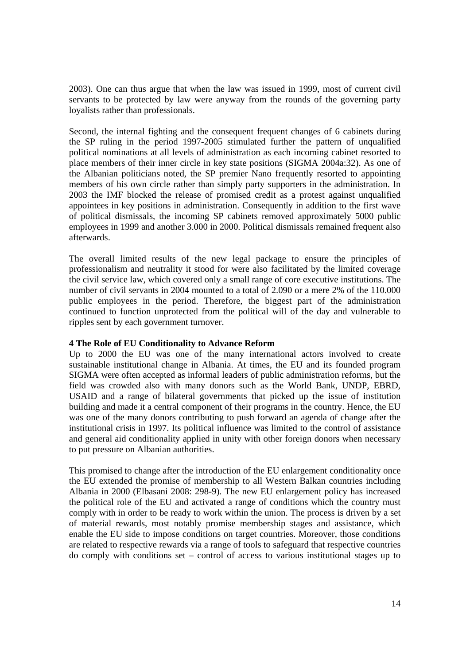2003). One can thus argue that when the law was issued in 1999, most of current civil servants to be protected by law were anyway from the rounds of the governing party loyalists rather than professionals.

Second, the internal fighting and the consequent frequent changes of 6 cabinets during the SP ruling in the period 1997-2005 stimulated further the pattern of unqualified political nominations at all levels of administration as each incoming cabinet resorted to place members of their inner circle in key state positions (SIGMA 2004a:32). As one of the Albanian politicians noted, the SP premier Nano frequently resorted to appointing members of his own circle rather than simply party supporters in the administration. In 2003 the IMF blocked the release of promised credit as a protest against unqualified appointees in key positions in administration. Consequently in addition to the first wave of political dismissals, the incoming SP cabinets removed approximately 5000 public employees in 1999 and another 3.000 in 2000. Political dismissals remained frequent also afterwards.

The overall limited results of the new legal package to ensure the principles of professionalism and neutrality it stood for were also facilitated by the limited coverage the civil service law, which covered only a small range of core executive institutions. The number of civil servants in 2004 mounted to a total of 2.090 or a mere 2% of the 110.000 public employees in the period. Therefore, the biggest part of the administration continued to function unprotected from the political will of the day and vulnerable to ripples sent by each government turnover.

## **4 The Role of EU Conditionality to Advance Reform**

Up to 2000 the EU was one of the many international actors involved to create sustainable institutional change in Albania. At times, the EU and its founded program SIGMA were often accepted as informal leaders of public administration reforms, but the field was crowded also with many donors such as the World Bank, UNDP, EBRD, USAID and a range of bilateral governments that picked up the issue of institution building and made it a central component of their programs in the country. Hence, the EU was one of the many donors contributing to push forward an agenda of change after the institutional crisis in 1997. Its political influence was limited to the control of assistance and general aid conditionality applied in unity with other foreign donors when necessary to put pressure on Albanian authorities.

This promised to change after the introduction of the EU enlargement conditionality once the EU extended the promise of membership to all Western Balkan countries including Albania in 2000 (Elbasani 2008: 298-9). The new EU enlargement policy has increased the political role of the EU and activated a range of conditions which the country must comply with in order to be ready to work within the union. The process is driven by a set of material rewards, most notably promise membership stages and assistance, which enable the EU side to impose conditions on target countries. Moreover, those conditions are related to respective rewards via a range of tools to safeguard that respective countries do comply with conditions set – control of access to various institutional stages up to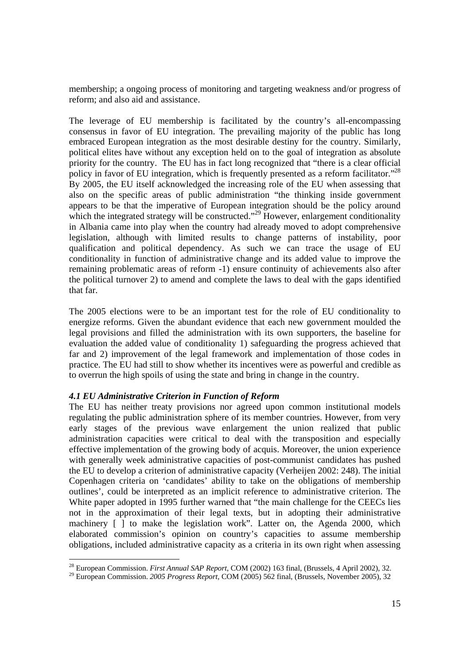membership; a ongoing process of monitoring and targeting weakness and/or progress of reform; and also aid and assistance.

The leverage of EU membership is facilitated by the country's all-encompassing consensus in favor of EU integration. The prevailing majority of the public has long embraced European integration as the most desirable destiny for the country. Similarly, political elites have without any exception held on to the goal of integration as absolute priority for the country. The EU has in fact long recognized that "there is a clear official policy in favor of EU integration, which is frequently presented as a reform facilitator."<sup>28</sup> By 2005, the EU itself acknowledged the increasing role of the EU when assessing that also on the specific areas of public administration "the thinking inside government appears to be that the imperative of European integration should be the policy around which the integrated strategy will be constructed."<sup>29</sup> However, enlargement conditionality in Albania came into play when the country had already moved to adopt comprehensive legislation, although with limited results to change patterns of instability, poor qualification and political dependency. As such we can trace the usage of EU conditionality in function of administrative change and its added value to improve the remaining problematic areas of reform -1) ensure continuity of achievements also after the political turnover 2) to amend and complete the laws to deal with the gaps identified that far.

The 2005 elections were to be an important test for the role of EU conditionality to energize reforms. Given the abundant evidence that each new government moulded the legal provisions and filled the administration with its own supporters, the baseline for evaluation the added value of conditionality 1) safeguarding the progress achieved that far and 2) improvement of the legal framework and implementation of those codes in practice. The EU had still to show whether its incentives were as powerful and credible as to overrun the high spoils of using the state and bring in change in the country.

## *4.1 EU Administrative Criterion in Function of Reform*

The EU has neither treaty provisions nor agreed upon common institutional models regulating the public administration sphere of its member countries. However, from very early stages of the previous wave enlargement the union realized that public administration capacities were critical to deal with the transposition and especially effective implementation of the growing body of acquis. Moreover, the union experience with generally week administrative capacities of post-communist candidates has pushed the EU to develop a criterion of administrative capacity (Verheijen 2002: 248). The initial Copenhagen criteria on 'candidates' ability to take on the obligations of membership outlines', could be interpreted as an implicit reference to administrative criterion. The White paper adopted in 1995 further warned that "the main challenge for the CEECs lies not in the approximation of their legal texts, but in adopting their administrative machinery [ ] to make the legislation work". Latter on, the Agenda 2000, which elaborated commission's opinion on country's capacities to assume membership obligations, included administrative capacity as a criteria in its own right when assessing

<sup>&</sup>lt;sup>28</sup> European Commission. First Annual SAP Report, COM (2002) 163 final, (Brussels, 4 April 2002), 32.

<sup>&</sup>lt;sup>29</sup> European Commission. *2005 Progress Report*, COM (2005) 562 final, (Brussels, November 2005), 32.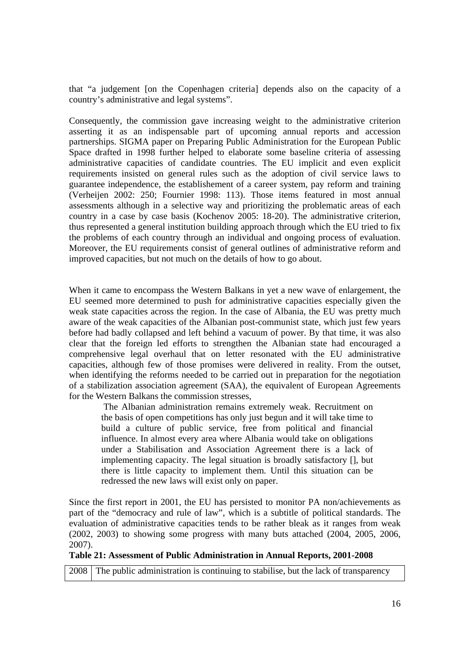that "a judgement [on the Copenhagen criteria] depends also on the capacity of a country's administrative and legal systems".

Consequently, the commission gave increasing weight to the administrative criterion asserting it as an indispensable part of upcoming annual reports and accession partnerships. SIGMA paper on Preparing Public Administration for the European Public Space drafted in 1998 further helped to elaborate some baseline criteria of assessing administrative capacities of candidate countries. The EU implicit and even explicit requirements insisted on general rules such as the adoption of civil service laws to guarantee independence, the establishement of a career system, pay reform and training (Verheijen 2002: 250; Fournier 1998: 113). Those items featured in most annual assessments although in a selective way and prioritizing the problematic areas of each country in a case by case basis (Kochenov 2005: 18-20). The administrative criterion, thus represented a general institution building approach through which the EU tried to fix the problems of each country through an individual and ongoing process of evaluation. Moreover, the EU requirements consist of general outlines of administrative reform and improved capacities, but not much on the details of how to go about.

When it came to encompass the Western Balkans in yet a new wave of enlargement, the EU seemed more determined to push for administrative capacities especially given the weak state capacities across the region. In the case of Albania, the EU was pretty much aware of the weak capacities of the Albanian post-communist state, which just few years before had badly collapsed and left behind a vacuum of power. By that time, it was also clear that the foreign led efforts to strengthen the Albanian state had encouraged a comprehensive legal overhaul that on letter resonated with the EU administrative capacities, although few of those promises were delivered in reality. From the outset, when identifying the reforms needed to be carried out in preparation for the negotiation of a stabilization association agreement (SAA), the equivalent of European Agreements for the Western Balkans the commission stresses,

 The Albanian administration remains extremely weak. Recruitment on the basis of open competitions has only just begun and it will take time to build a culture of public service, free from political and financial influence. In almost every area where Albania would take on obligations under a Stabilisation and Association Agreement there is a lack of implementing capacity. The legal situation is broadly satisfactory [], but there is little capacity to implement them. Until this situation can be redressed the new laws will exist only on paper.

Since the first report in 2001, the EU has persisted to monitor PA non/achievements as part of the "democracy and rule of law", which is a subtitle of political standards. The evaluation of administrative capacities tends to be rather bleak as it ranges from weak (2002, 2003) to showing some progress with many buts attached (2004, 2005, 2006, 2007).

#### **Table 21: Assessment of Public Administration in Annual Reports, 2001-2008**

2008 The public administration is continuing to stabilise, but the lack of transparency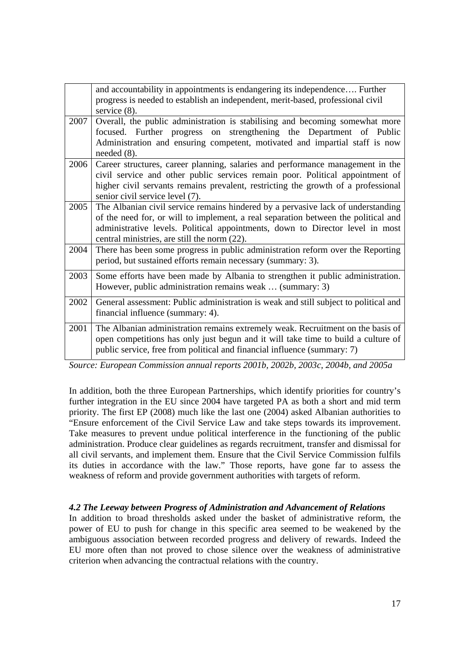|      | and accountability in appointments is endangering its independence Further<br>progress is needed to establish an independent, merit-based, professional civil<br>service $(8)$ .                                                                                                                        |
|------|---------------------------------------------------------------------------------------------------------------------------------------------------------------------------------------------------------------------------------------------------------------------------------------------------------|
| 2007 | Overall, the public administration is stabilising and becoming somewhat more<br>focused. Further progress on strengthening the Department of Public<br>Administration and ensuring competent, motivated and impartial staff is now<br>needed $(8)$ .                                                    |
| 2006 | Career structures, career planning, salaries and performance management in the<br>civil service and other public services remain poor. Political appointment of<br>higher civil servants remains prevalent, restricting the growth of a professional<br>senior civil service level (7).                 |
| 2005 | The Albanian civil service remains hindered by a pervasive lack of understanding<br>of the need for, or will to implement, a real separation between the political and<br>administrative levels. Political appointments, down to Director level in most<br>central ministries, are still the norm (22). |
| 2004 | There has been some progress in public administration reform over the Reporting<br>period, but sustained efforts remain necessary (summary: 3).                                                                                                                                                         |
| 2003 | Some efforts have been made by Albania to strengthen it public administration.<br>However, public administration remains weak  (summary: 3)                                                                                                                                                             |
| 2002 | General assessment: Public administration is weak and still subject to political and<br>financial influence (summary: 4).                                                                                                                                                                               |
| 2001 | The Albanian administration remains extremely weak. Recruitment on the basis of<br>open competitions has only just begun and it will take time to build a culture of<br>public service, free from political and financial influence (summary: 7)                                                        |

*Source: European Commission annual reports 2001b, 2002b, 2003c, 2004b, and 2005a* 

In addition, both the three European Partnerships, which identify priorities for country's further integration in the EU since 2004 have targeted PA as both a short and mid term priority. The first EP (2008) much like the last one (2004) asked Albanian authorities to "Ensure enforcement of the Civil Service Law and take steps towards its improvement. Take measures to prevent undue political interference in the functioning of the public administration. Produce clear guidelines as regards recruitment, transfer and dismissal for all civil servants, and implement them. Ensure that the Civil Service Commission fulfils its duties in accordance with the law." Those reports, have gone far to assess the weakness of reform and provide government authorities with targets of reform.

## *4.2 The Leeway between Progress of Administration and Advancement of Relations*

In addition to broad thresholds asked under the basket of administrative reform, the power of EU to push for change in this specific area seemed to be weakened by the ambiguous association between recorded progress and delivery of rewards. Indeed the EU more often than not proved to chose silence over the weakness of administrative criterion when advancing the contractual relations with the country.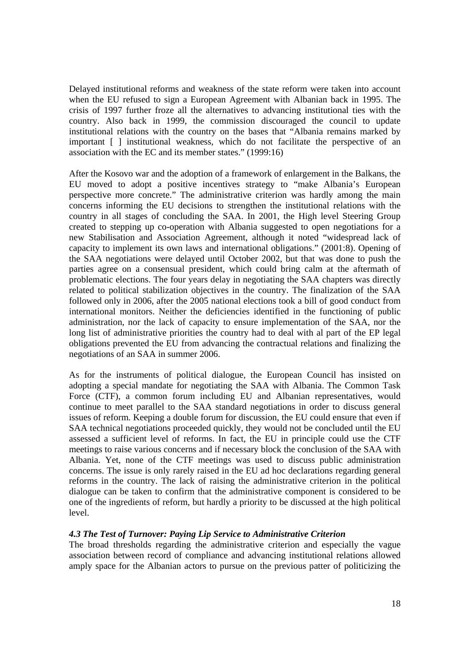Delayed institutional reforms and weakness of the state reform were taken into account when the EU refused to sign a European Agreement with Albanian back in 1995. The crisis of 1997 further froze all the alternatives to advancing institutional ties with the country. Also back in 1999, the commission discouraged the council to update institutional relations with the country on the bases that "Albania remains marked by important [ ] institutional weakness, which do not facilitate the perspective of an association with the EC and its member states." (1999:16)

After the Kosovo war and the adoption of a framework of enlargement in the Balkans, the EU moved to adopt a positive incentives strategy to "make Albania's European perspective more concrete." The administrative criterion was hardly among the main concerns informing the EU decisions to strengthen the institutional relations with the country in all stages of concluding the SAA. In 2001, the High level Steering Group created to stepping up co-operation with Albania suggested to open negotiations for a new Stabilisation and Association Agreement, although it noted "widespread lack of capacity to implement its own laws and international obligations." (2001:8). Opening of the SAA negotiations were delayed until October 2002, but that was done to push the parties agree on a consensual president, which could bring calm at the aftermath of problematic elections. The four years delay in negotiating the SAA chapters was directly related to political stabilization objectives in the country. The finalization of the SAA followed only in 2006, after the 2005 national elections took a bill of good conduct from international monitors. Neither the deficiencies identified in the functioning of public administration, nor the lack of capacity to ensure implementation of the SAA, nor the long list of administrative priorities the country had to deal with al part of the EP legal obligations prevented the EU from advancing the contractual relations and finalizing the negotiations of an SAA in summer 2006.

As for the instruments of political dialogue, the European Council has insisted on adopting a special mandate for negotiating the SAA with Albania. The Common Task Force (CTF), a common forum including EU and Albanian representatives, would continue to meet parallel to the SAA standard negotiations in order to discuss general issues of reform. Keeping a double forum for discussion, the EU could ensure that even if SAA technical negotiations proceeded quickly, they would not be concluded until the EU assessed a sufficient level of reforms. In fact, the EU in principle could use the CTF meetings to raise various concerns and if necessary block the conclusion of the SAA with Albania. Yet, none of the CTF meetings was used to discuss public administration concerns. The issue is only rarely raised in the EU ad hoc declarations regarding general reforms in the country. The lack of raising the administrative criterion in the political dialogue can be taken to confirm that the administrative component is considered to be one of the ingredients of reform, but hardly a priority to be discussed at the high political level.

## *4.3 The Test of Turnover: Paying Lip Service to Administrative Criterion*

The broad thresholds regarding the administrative criterion and especially the vague association between record of compliance and advancing institutional relations allowed amply space for the Albanian actors to pursue on the previous patter of politicizing the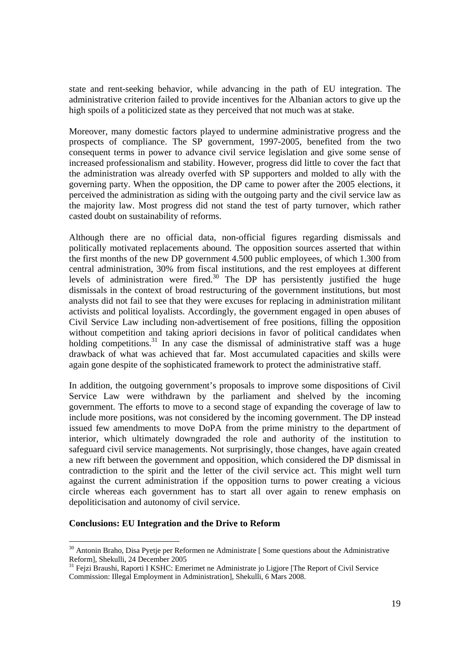state and rent-seeking behavior, while advancing in the path of EU integration. The administrative criterion failed to provide incentives for the Albanian actors to give up the high spoils of a politicized state as they perceived that not much was at stake.

Moreover, many domestic factors played to undermine administrative progress and the prospects of compliance. The SP government, 1997-2005, benefited from the two consequent terms in power to advance civil service legislation and give some sense of increased professionalism and stability. However, progress did little to cover the fact that the administration was already overfed with SP supporters and molded to ally with the governing party. When the opposition, the DP came to power after the 2005 elections, it perceived the administration as siding with the outgoing party and the civil service law as the majority law. Most progress did not stand the test of party turnover, which rather casted doubt on sustainability of reforms.

Although there are no official data, non-official figures regarding dismissals and politically motivated replacements abound. The opposition sources asserted that within the first months of the new DP government 4.500 public employees, of which 1.300 from central administration, 30% from fiscal institutions, and the rest employees at different levels of administration were fired.<sup>30</sup> The DP has persistently justified the huge dismissals in the context of broad restructuring of the government institutions, but most analysts did not fail to see that they were excuses for replacing in administration militant activists and political loyalists. Accordingly, the government engaged in open abuses of Civil Service Law including non-advertisement of free positions, filling the opposition without competition and taking apriori decisions in favor of political candidates when holding competitions.<sup>31</sup> In any case the dismissal of administrative staff was a huge drawback of what was achieved that far. Most accumulated capacities and skills were again gone despite of the sophisticated framework to protect the administrative staff.

In addition, the outgoing government's proposals to improve some dispositions of Civil Service Law were withdrawn by the parliament and shelved by the incoming government. The efforts to move to a second stage of expanding the coverage of law to include more positions, was not considered by the incoming government. The DP instead issued few amendments to move DoPA from the prime ministry to the department of interior, which ultimately downgraded the role and authority of the institution to safeguard civil service managements. Not surprisingly, those changes, have again created a new rift between the government and opposition, which considered the DP dismissal in contradiction to the spirit and the letter of the civil service act. This might well turn against the current administration if the opposition turns to power creating a vicious circle whereas each government has to start all over again to renew emphasis on depoliticisation and autonomy of civil service.

## **Conclusions: EU Integration and the Drive to Reform**

<sup>&</sup>lt;sup>30</sup> Antonin Braho, Disa Pyetje per Reformen ne Administrate [ Some questions about the Administrative Reform], Shekulli, 24 December 2005

<sup>&</sup>lt;sup>31</sup> Feizi Braushi, Raporti I KSHC: Emerimet ne Administrate jo Ligjore [The Report of Civil Service Commission: Illegal Employment in Administration], Shekulli, 6 Mars 2008.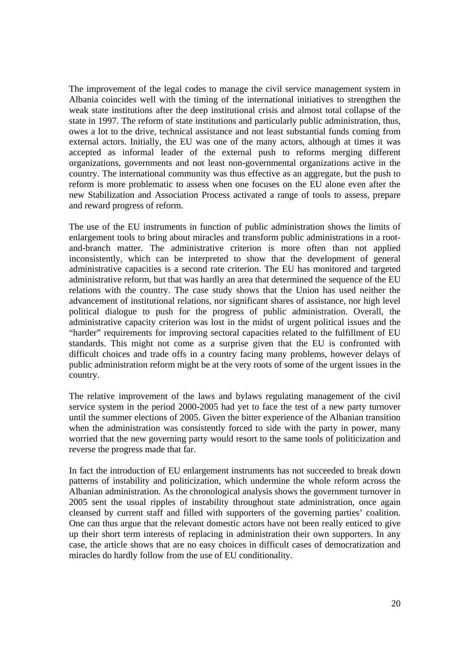The improvement of the legal codes to manage the civil service management system in Albania coincides well with the timing of the international initiatives to strengthen the weak state institutions after the deep institutional crisis and almost total collapse of the state in 1997. The reform of state institutions and particularly public administration, thus, owes a lot to the drive, technical assistance and not least substantial funds coming from external actors. Initially, the EU was one of the many actors, although at times it was accepted as informal leader of the external push to reforms merging different organizations, governments and not least non-governmental organizations active in the country. The international community was thus effective as an aggregate, but the push to reform is more problematic to assess when one focuses on the EU alone even after the new Stabilization and Association Process activated a range of tools to assess, prepare and reward progress of reform.

The use of the EU instruments in function of public administration shows the limits of enlargement tools to bring about miracles and transform public administrations in a rootand-branch matter. The administrative criterion is more often than not applied inconsistently, which can be interpreted to show that the development of general administrative capacities is a second rate criterion. The EU has monitored and targeted administrative reform, but that was hardly an area that determined the sequence of the EU relations with the country. The case study shows that the Union has used neither the advancement of institutional relations, nor significant shares of assistance, nor high level political dialogue to push for the progress of public administration. Overall, the administrative capacity criterion was lost in the midst of urgent political issues and the "harder" requirements for improving sectoral capacities related to the fulfillment of EU standards. This might not come as a surprise given that the EU is confronted with difficult choices and trade offs in a country facing many problems, however delays of public administration reform might be at the very roots of some of the urgent issues in the country.

The relative improvement of the laws and bylaws regulating management of the civil service system in the period 2000-2005 had yet to face the test of a new party turnover until the summer elections of 2005. Given the bitter experience of the Albanian transition when the administration was consistently forced to side with the party in power, many worried that the new governing party would resort to the same tools of politicization and reverse the progress made that far.

In fact the introduction of EU enlargement instruments has not succeeded to break down patterns of instability and politicization, which undermine the whole reform across the Albanian administration. As the chronological analysis shows the government turnover in 2005 sent the usual ripples of instability throughout state administration, once again cleansed by current staff and filled with supporters of the governing parties' coalition. One can thus argue that the relevant domestic actors have not been really enticed to give up their short term interests of replacing in administration their own supporters. In any case, the article shows that are no easy choices in difficult cases of democratization and miracles do hardly follow from the use of EU conditionality.